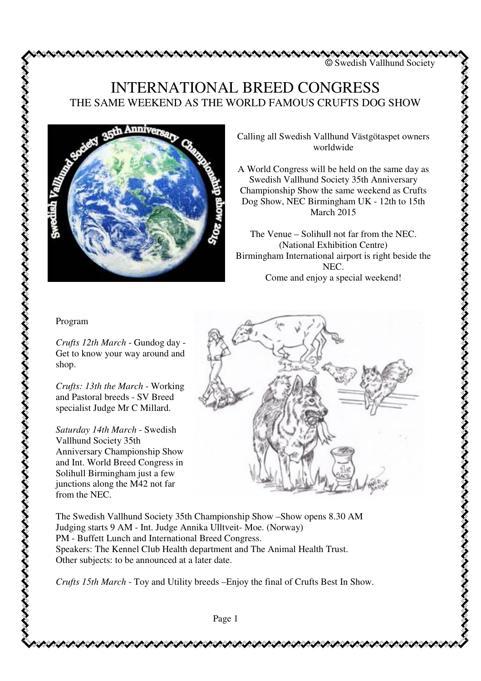© Swedish Vallhund Society

## INTERNATIONAL BREED CONGRESS THE SAME WEEKEND AS THE WORLD FAMOUS CRUFTS DOG SHOW



Calling all Swedish Vallhund Västgötaspet owners worldwide

A World Congress will be held on the same day as Swedish Vallhund Society 35th Anniversary Championship Show the same weekend as Crufts Dog Show, NEC Birmingham UK - 12th to 15th March 2015

The Venue – Solihull not far from the NEC. (National Exhibition Centre) Birmingham International airport is right beside the NEC. Come and enjoy a special weekend!

## Program

*Crufts 12th March* - Gundog day - Get to know your way around and shop.

*Crufts: 13th the March* - Working and Pastoral breeds - SV Breed specialist Judge Mr C Millard.

*Saturday 14th March* - Swedish Vallhund Society 35th Anniversary Championship Show and Int. World Breed Congress in Solihull Birmingham just a few junctions along the M42 not far from the NEC.



The Swedish Vallhund Society 35th Championship Show –Show opens 8.30 AM Judging starts 9 AM - Int. Judge Annika Ulltveit- Moe. (Norway) PM - Buffett Lunch and International Breed Congress. Speakers: The Kennel Club Health department and The Animal Health Trust. Other subjects: to be announced at a later date.

*Crufts 15th March* - Toy and Utility breeds –Enjoy the final of Crufts Best In Show.

Page 1

けんけいけいけいけいけいけいけい